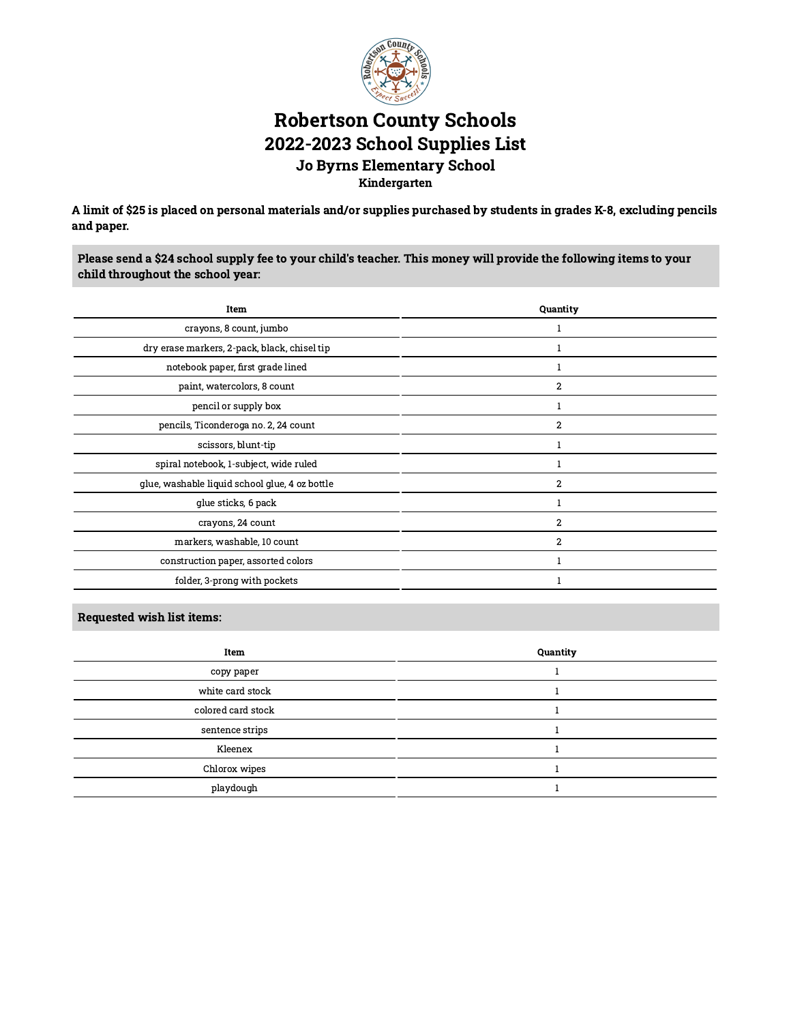

# Robertson County Schools 2022-2023 School Supplies List Jo Byrns Elementary School Kindergarten

A limit of \$25 is placed on personal materials and/or supplies purchased by students in grades K-8, excluding pencils and paper.

Please send a \$24 school supply fee to your child's teacher. This money will provide the following items to your child throughout the school year:

| Item                                           | Quantity       |
|------------------------------------------------|----------------|
| crayons, 8 count, jumbo                        |                |
| dry erase markers, 2-pack, black, chisel tip   |                |
| notebook paper, first grade lined              |                |
| paint, watercolors, 8 count                    | $\overline{2}$ |
| pencil or supply box                           |                |
| pencils, Ticonderoga no. 2, 24 count           | $\overline{2}$ |
| scissors, blunt-tip                            |                |
| spiral notebook, 1-subject, wide ruled         |                |
| glue, washable liquid school glue, 4 oz bottle | $\overline{2}$ |
| glue sticks, 6 pack                            |                |
| crayons, 24 count                              | $\overline{2}$ |
| markers, washable, 10 count                    | $\overline{2}$ |
| construction paper, assorted colors            |                |
| folder, 3-prong with pockets                   |                |

| Item               | Quantity |
|--------------------|----------|
| copy paper         |          |
| white card stock   |          |
| colored card stock |          |
| sentence strips    |          |
| Kleenex            |          |
| Chlorox wipes      |          |
| playdough          |          |
|                    |          |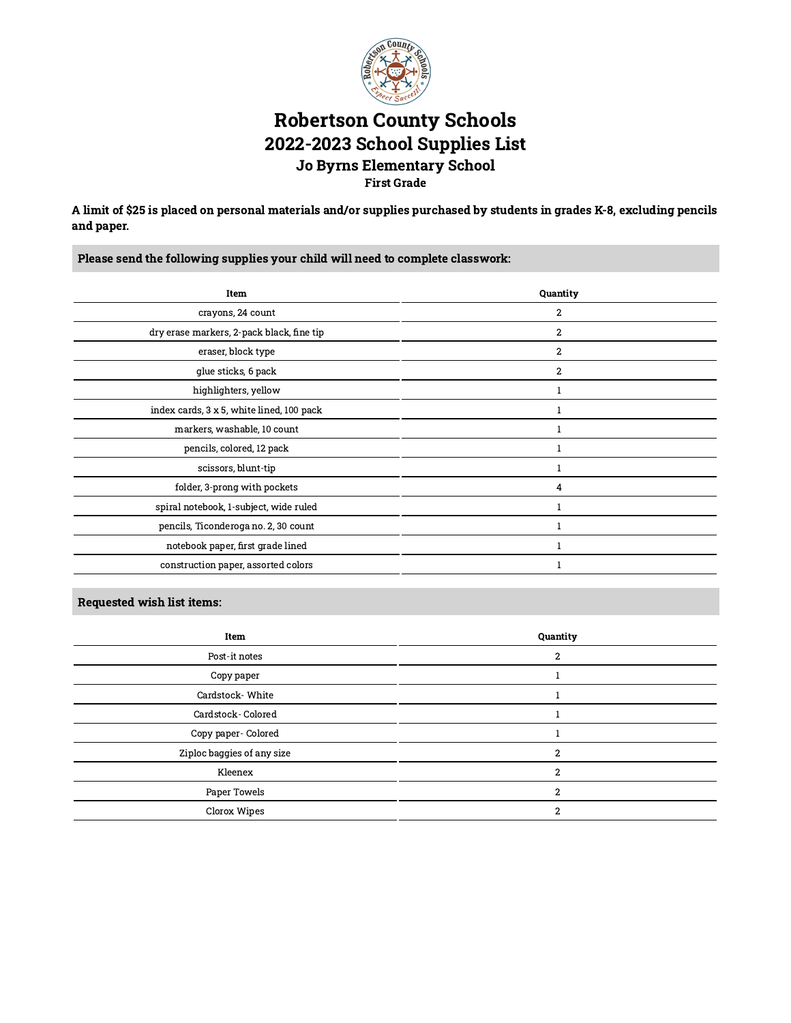

## Robertson County Schools 2022-2023 School Supplies List Jo Byrns Elementary School First Grade

A limit of \$25 is placed on personal materials and/or supplies purchased by students in grades K-8, excluding pencils and paper.

Please send the following supplies your child will need to complete classwork:

| Item                                      | Quantity         |
|-------------------------------------------|------------------|
| crayons, 24 count                         | $\boldsymbol{2}$ |
| dry erase markers, 2-pack black, fine tip | $\overline{2}$   |
| eraser, block type                        | $\overline{2}$   |
| glue sticks, 6 pack                       | 2                |
| highlighters, yellow                      |                  |
| index cards, 3 x 5, white lined, 100 pack |                  |
| markers, washable, 10 count               |                  |
| pencils, colored, 12 pack                 |                  |
| scissors, blunt-tip                       |                  |
| folder, 3-prong with pockets              | 4                |
| spiral notebook, 1-subject, wide ruled    |                  |
| pencils, Ticonderoga no. 2, 30 count      |                  |
| notebook paper, first grade lined         |                  |
| construction paper, assorted colors       |                  |

| Item                       | Quantity |
|----------------------------|----------|
| Post-it notes              | c        |
| Copy paper                 |          |
| Cardstock-White            |          |
| Cardstock-Colored          |          |
| Copy paper- Colored        |          |
| Ziploc baggies of any size | 2        |
| Kleenex                    |          |
| Paper Towels               |          |
| Clorox Wipes               | 2        |
|                            |          |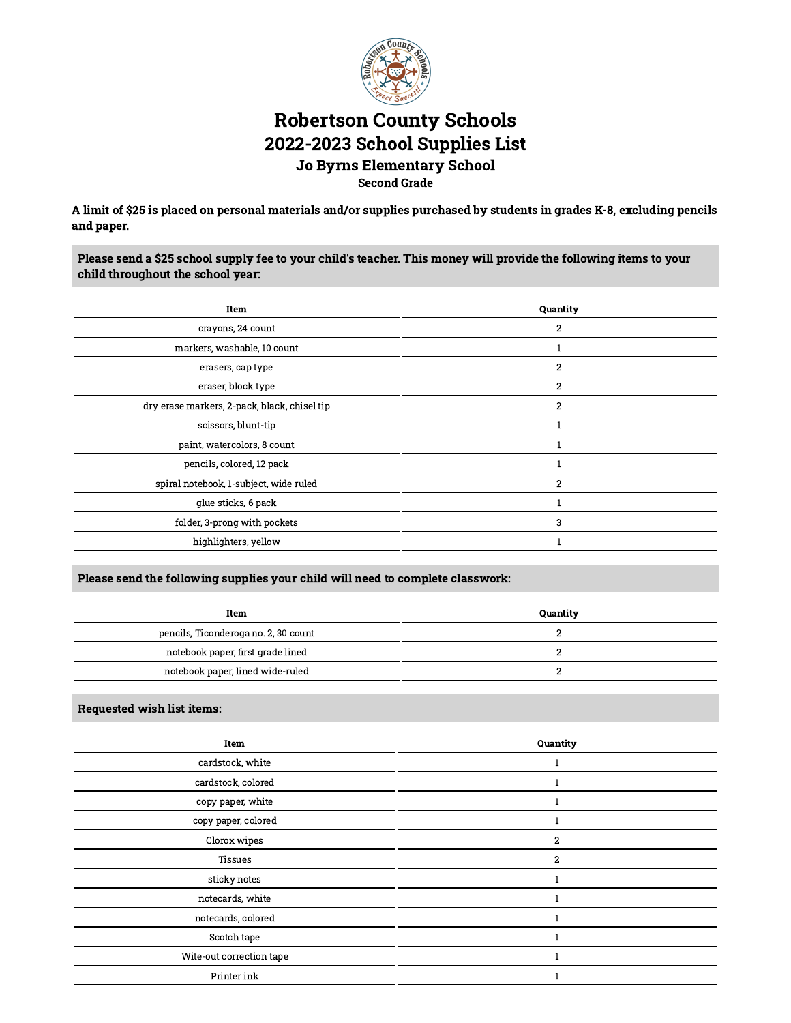

# Robertson County Schools 2022-2023 School Supplies List Jo Byrns Elementary School Second Grade

A limit of \$25 is placed on personal materials and/or supplies purchased by students in grades K-8, excluding pencils and paper.

Please send a \$25 school supply fee to your child's teacher. This money will provide the following items to your child throughout the school year:

| Item                                         | Quantity       |
|----------------------------------------------|----------------|
| crayons, 24 count                            | 2              |
| markers, washable, 10 count                  |                |
| erasers, cap type                            | $\overline{2}$ |
| eraser, block type                           | $\overline{2}$ |
| dry erase markers, 2-pack, black, chisel tip | $\overline{2}$ |
| scissors, blunt-tip                          |                |
| paint, watercolors, 8 count                  |                |
| pencils, colored, 12 pack                    |                |
| spiral notebook, 1-subject, wide ruled       | $\overline{2}$ |
| glue sticks, 6 pack                          |                |
| folder, 3-prong with pockets                 | 3              |
| highlighters, yellow                         |                |
|                                              |                |

### Please send the following supplies your child will need to complete classwork:

| Item                                 | Quantity |
|--------------------------------------|----------|
| pencils, Ticonderoga no. 2, 30 count |          |
| notebook paper, first grade lined    |          |
| notebook paper, lined wide-ruled     |          |

| Item                     | Quantity       |
|--------------------------|----------------|
| cardstock, white         |                |
| cardstock, colored       |                |
| copy paper, white        |                |
| copy paper, colored      |                |
| Clorox wipes             | $\overline{2}$ |
| <b>Tissues</b>           | $\overline{2}$ |
| sticky notes             |                |
| notecards, white         |                |
| notecards, colored       |                |
| Scotch tape              |                |
| Wite-out correction tape |                |
| Printer ink              |                |
|                          |                |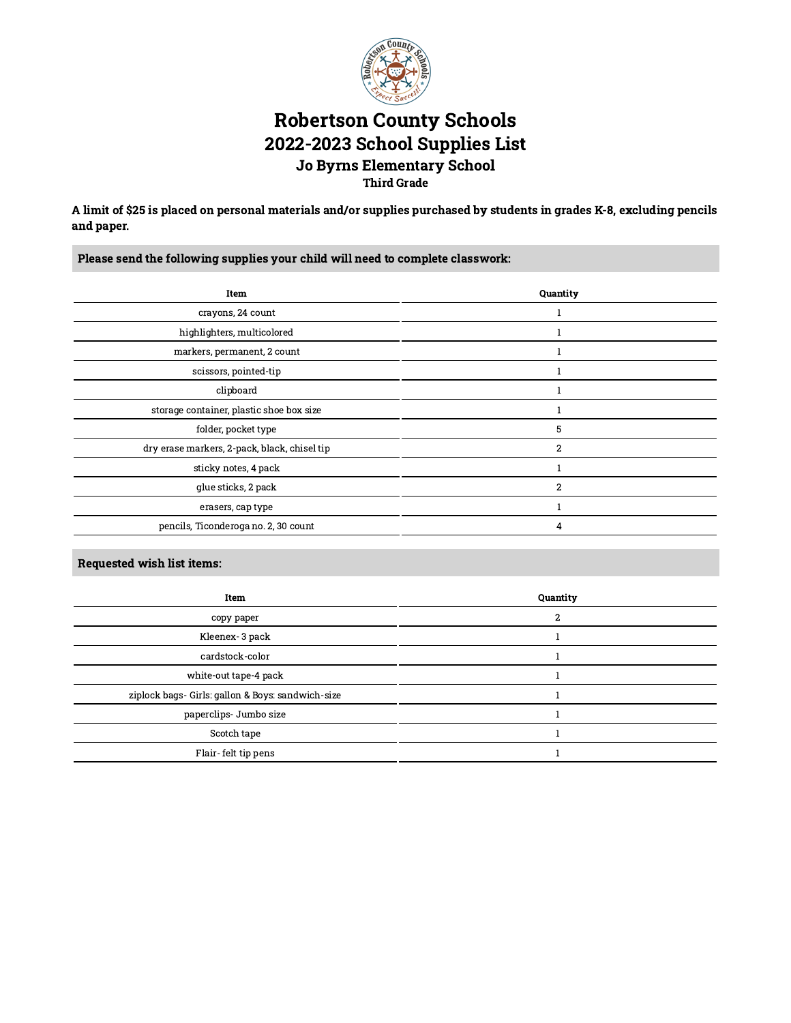

# Robertson County Schools 2022-2023 School Supplies List Jo Byrns Elementary School Third Grade

A limit of \$25 is placed on personal materials and/or supplies purchased by students in grades K-8, excluding pencils and paper.

Please send the following supplies your child will need to complete classwork:

| Item                                         | Quantity       |
|----------------------------------------------|----------------|
| crayons, 24 count                            |                |
| highlighters, multicolored                   |                |
| markers, permanent, 2 count                  |                |
| scissors, pointed-tip                        |                |
| clipboard                                    |                |
| storage container, plastic shoe box size     |                |
| folder, pocket type                          | 5              |
| dry erase markers, 2-pack, black, chisel tip | $\overline{2}$ |
| sticky notes, 4 pack                         |                |
| glue sticks, 2 pack                          | $\overline{2}$ |
| erasers, cap type                            |                |
| pencils, Ticonderoga no. 2, 30 count         | 4              |

| Item                                              | Quantity |
|---------------------------------------------------|----------|
| copy paper                                        | 2        |
| Kleenex- 3 pack                                   |          |
| cardstock-color                                   |          |
| white-out tape-4 pack                             |          |
| ziplock bags- Girls: gallon & Boys: sandwich-size |          |
| paperclips- Jumbo size                            |          |
| Scotch tape                                       |          |
| Flair-felt tip pens                               |          |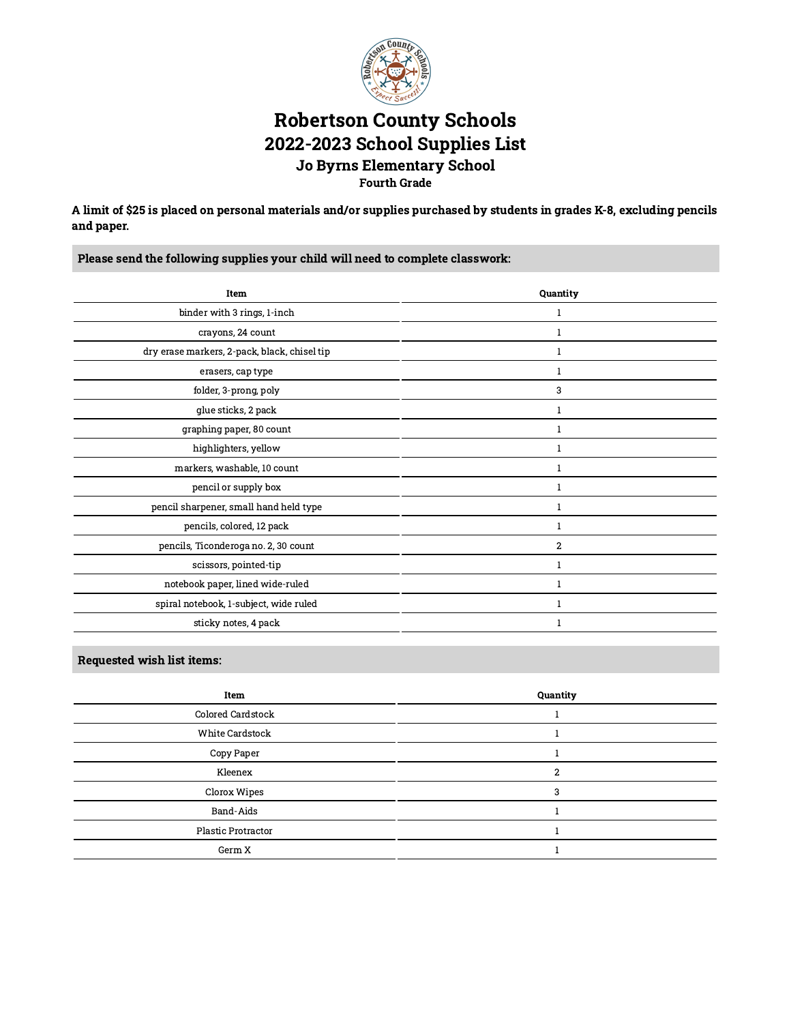

## Robertson County Schools 2022-2023 School Supplies List Jo Byrns Elementary School Fourth Grade

A limit of \$25 is placed on personal materials and/or supplies purchased by students in grades K-8, excluding pencils and paper.

Please send the following supplies your child will need to complete classwork:

| Item                                         | Quantity       |
|----------------------------------------------|----------------|
| binder with 3 rings, 1-inch                  | 1              |
| crayons, 24 count                            | 1              |
| dry erase markers, 2-pack, black, chisel tip | 1              |
| erasers, cap type                            | 1              |
| folder, 3-prong, poly                        | 3              |
| glue sticks, 2 pack                          | 1              |
| graphing paper, 80 count                     | 1              |
| highlighters, yellow                         | 1              |
| markers, washable, 10 count                  | 1              |
| pencil or supply box                         | 1              |
| pencil sharpener, small hand held type       | 1              |
| pencils, colored, 12 pack                    | 1              |
| pencils, Ticonderoga no. 2, 30 count         | $\overline{2}$ |
| scissors, pointed-tip                        | 1              |
| notebook paper, lined wide-ruled             | $\mathbf{1}$   |
| spiral notebook, 1-subject, wide ruled       | 1              |
| sticky notes, 4 pack                         | 1              |

| Quantity |
|----------|
|          |
|          |
|          |
| ົ        |
|          |
|          |
|          |
|          |
|          |